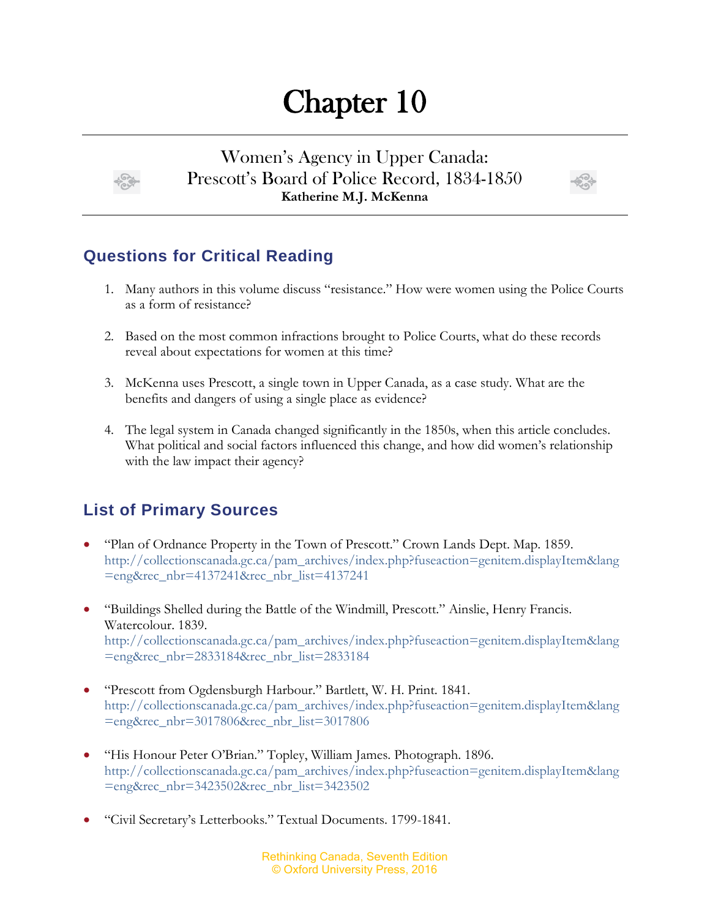## Chapter 10

Women's Agency in Upper Canada: Prescott's Board of Police Record, 1834-1850 **Katherine M.J. McKenna**



## **Questions for Critical Reading**

- 1. Many authors in this volume discuss "resistance." How were women using the Police Courts as a form of resistance?
- 2. Based on the most common infractions brought to Police Courts, what do these records reveal about expectations for women at this time?
- 3. McKenna uses Prescott, a single town in Upper Canada, as a case study. What are the benefits and dangers of using a single place as evidence?
- 4. The legal system in Canada changed significantly in the 1850s, when this article concludes. What political and social factors influenced this change, and how did women's relationship with the law impact their agency?

## **List of Primary Sources**

- "Plan of Ordnance Property in the Town of Prescott." Crown Lands Dept. Map. 1859. [http://collectionscanada.gc.ca/pam\\_archives/index.php?fuseaction=genitem.displayItem&lang](http://collectionscanada.gc.ca/pam_archives/index.php?fuseaction=genitem.displayItem&lang=eng&rec_nbr=4137241&rec_nbr_list=4137241) [=eng&rec\\_nbr=4137241&rec\\_nbr\\_list=4137241](http://collectionscanada.gc.ca/pam_archives/index.php?fuseaction=genitem.displayItem&lang=eng&rec_nbr=4137241&rec_nbr_list=4137241)
- "Buildings Shelled during the Battle of the Windmill, Prescott." Ainslie, Henry Francis. Watercolour. 1839. [http://collectionscanada.gc.ca/pam\\_archives/index.php?fuseaction=genitem.displayItem&lang](http://collectionscanada.gc.ca/pam_archives/index.php?fuseaction=genitem.displayItem&lang=eng&rec_nbr=2833184&rec_nbr_list=2833184) [=eng&rec\\_nbr=2833184&rec\\_nbr\\_list=2833184](http://collectionscanada.gc.ca/pam_archives/index.php?fuseaction=genitem.displayItem&lang=eng&rec_nbr=2833184&rec_nbr_list=2833184)
- "Prescott from Ogdensburgh Harbour." Bartlett, W. H. Print. 1841. [http://collectionscanada.gc.ca/pam\\_archives/index.php?fuseaction=genitem.displayItem&lang](http://collectionscanada.gc.ca/pam_archives/index.php?fuseaction=genitem.displayItem&lang=eng&rec_nbr=3017806&rec_nbr_list=3017806) [=eng&rec\\_nbr=3017806&rec\\_nbr\\_list=3017806](http://collectionscanada.gc.ca/pam_archives/index.php?fuseaction=genitem.displayItem&lang=eng&rec_nbr=3017806&rec_nbr_list=3017806)
- "His Honour Peter O'Brian." Topley, William James. Photograph. 1896. [http://collectionscanada.gc.ca/pam\\_archives/index.php?fuseaction=genitem.displayItem&lang](http://collectionscanada.gc.ca/pam_archives/index.php?fuseaction=genitem.displayItem&lang=eng&rec_nbr=3423502&rec_nbr_list=3423502) [=eng&rec\\_nbr=3423502&rec\\_nbr\\_list=3423502](http://collectionscanada.gc.ca/pam_archives/index.php?fuseaction=genitem.displayItem&lang=eng&rec_nbr=3423502&rec_nbr_list=3423502)
- "Civil Secretary's Letterbooks." Textual Documents. 1799-1841.